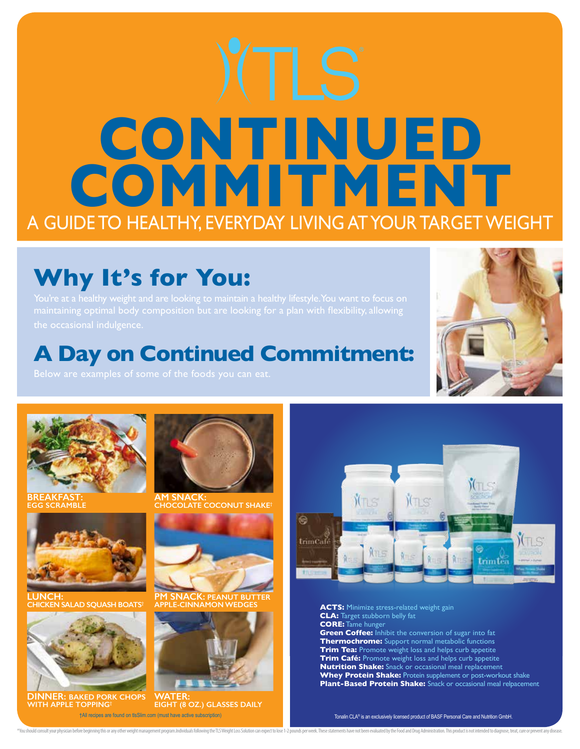# **CONTINUED** COMMITMENT A GUIDE TO HEALTHY, EVERYDAY LIVING AT YOUR TARGET WEIGHT

## **Why It's for You:**

### **A Day on Continued Commitment:**





**BREAKFAST: SCRAMBLE** 



**LUNCH: CHICKEN SALAD SQUASH BOATS†**



**DINNER: BAKED PORK CHOPS WITH APPLE TOPPING†**



**AM SNACK: CHOCOLATE COCONUT SHAKE†**



**PM SNACK: PEANUT BUTTER APPLE-CINNAMON WEDGES**



**WATER: EIGHT (8 OZ.) GLASSES DAILY** †All recipes are found on tlsSlim.com (must have active subscription)



**ACTS:** Minimize stress-related weight gain **CLA:** Target stubborn belly fat **CORE:** Tame hunger **Green Coffee:** Inhibit the conversion of sugar into fat **Thermochrome:** Support normal metabolic functions **Trim Tea:** Promote weight loss and helps curb appetite **Trim Café:** Promote weight loss and helps curb appetite **Nutrition Shake:** Snack or occasional meal replacement **Whey Protein Shake:** Protein supplement or post-workout shake **Plant-Based Protein Shake:** Snack or occasional meal relpacement

Tonalin CLA® is an exclusively licensed product of BASF Personal Care and Nutrition GmbH.